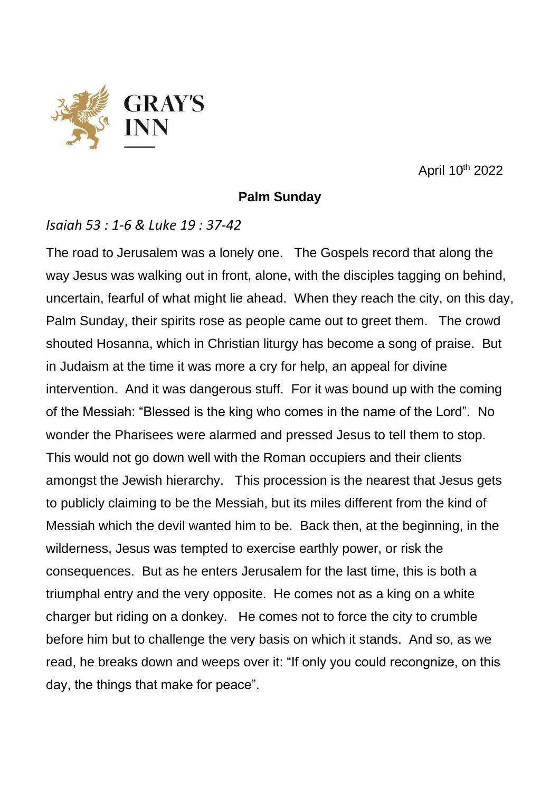

April 10th 2022

## **Palm Sunday**

## *Isaiah 53 : 1-6 & Luke 19 : 37-42*

The road to Jerusalem was a lonely one. The Gospels record that along the way Jesus was walking out in front, alone, with the disciples tagging on behind, uncertain, fearful of what might lie ahead. When they reach the city, on this day, Palm Sunday, their spirits rose as people came out to greet them. The crowd shouted Hosanna, which in Christian liturgy has become a song of praise. But in Judaism at the time it was more a cry for help, an appeal for divine intervention. And it was dangerous stuff. For it was bound up with the coming of the Messiah: "Blessed is the king who comes in the name of the Lord". No wonder the Pharisees were alarmed and pressed Jesus to tell them to stop. This would not go down well with the Roman occupiers and their clients amongst the Jewish hierarchy. This procession is the nearest that Jesus gets to publicly claiming to be the Messiah, but its miles different from the kind of Messiah which the devil wanted him to be. Back then, at the beginning, in the wilderness, Jesus was tempted to exercise earthly power, or risk the consequences. But as he enters Jerusalem for the last time, this is both a triumphal entry and the very opposite. He comes not as a king on a white charger but riding on a donkey. He comes not to force the city to crumble before him but to challenge the very basis on which it stands. And so, as we read, he breaks down and weeps over it: "If only you could recongnize, on this day, the things that make for peace".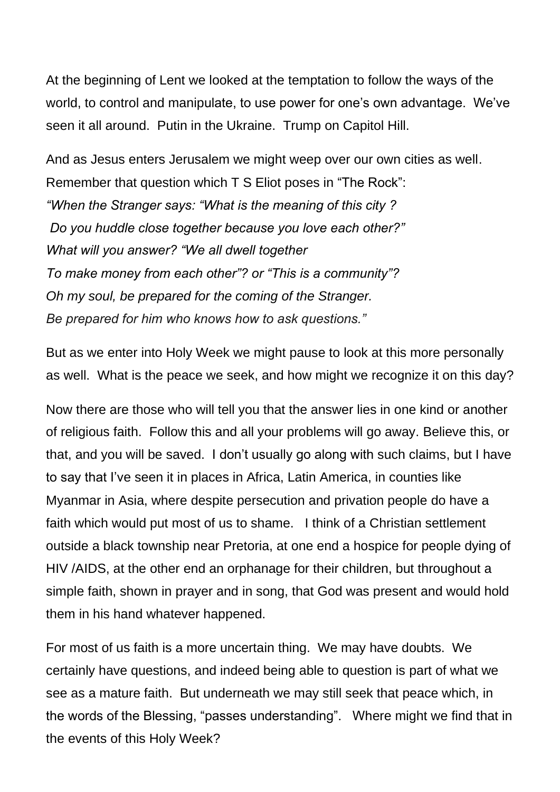At the beginning of Lent we looked at the temptation to follow the ways of the world, to control and manipulate, to use power for one's own advantage. We've seen it all around. Putin in the Ukraine. Trump on Capitol Hill.

And as Jesus enters Jerusalem we might weep over our own cities as well. Remember that question which T S Eliot poses in "The Rock": *"When the Stranger says: "What is the meaning of this city ? Do you huddle close together because you love each other?" What will you answer? "We all dwell together To make money from each other"? or "This is a community"? Oh my soul, be prepared for the coming of the Stranger. Be prepared for him who knows how to ask questions."*

But as we enter into Holy Week we might pause to look at this more personally as well. What is the peace we seek, and how might we recognize it on this day?

Now there are those who will tell you that the answer lies in one kind or another of religious faith. Follow this and all your problems will go away. Believe this, or that, and you will be saved. I don't usually go along with such claims, but I have to say that I've seen it in places in Africa, Latin America, in counties like Myanmar in Asia, where despite persecution and privation people do have a faith which would put most of us to shame. I think of a Christian settlement outside a black township near Pretoria, at one end a hospice for people dying of HIV /AIDS, at the other end an orphanage for their children, but throughout a simple faith, shown in prayer and in song, that God was present and would hold them in his hand whatever happened.

For most of us faith is a more uncertain thing. We may have doubts. We certainly have questions, and indeed being able to question is part of what we see as a mature faith. But underneath we may still seek that peace which, in the words of the Blessing, "passes understanding". Where might we find that in the events of this Holy Week?